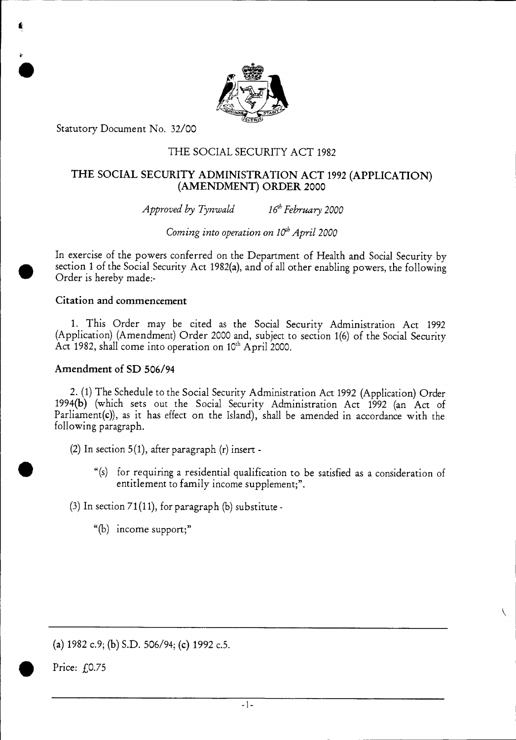

Statutory Document No. 32/00

**4,** •

**ا** 

•

**ا** 

# THE SOCIAL SECURITY ACT 1982

## THE SOCIAL SECURITY ADMINISTRATION ACT 1992 (APPLICATION) (AMENDMENT) ORDER 2000

*Approved by Tynwald 16th February 2000* 

*Coming into operation on 10<sup>th</sup> April 2000* 

In exercise of the powers conferred on the Department of Health and Social Security by section 1 of the Social Security Act 1982(a), and of all other enabling powers, the following Order is hereby made:-

## Citation **and commencement**

1. This Order may be cited as the Social Security Administration Act 1992 (Application) (Amendment) Order 2000 and, subject to section 1(6) of the Social Security Act 1982, shall come into operation on  $10<sup>th</sup>$  April 2000.

## **Amendment of SD 506/94**

2. (1) The Schedule to the Social Security Administration Act 1992 (Application) Order 1994(b) (which sets out the Social Security Administration Act 1992 (an Act of Parliament(c)), as it has effect on the Island), shall be amended in accordance with the following paragraph.

- (2) In section  $5(1)$ , after paragraph (r) insert -
	- "(s) for requiring a residential qualification to be satisfied as a consideration of entitlement to family income supplement;".

(3) In section 71(11), for paragraph (b) substitute -

"(b) income support;"

**(a)** 1982 c.9; **(b)** S.D. 506/94; **(c)** 1992 c.5.

Price:  $f(0.75)$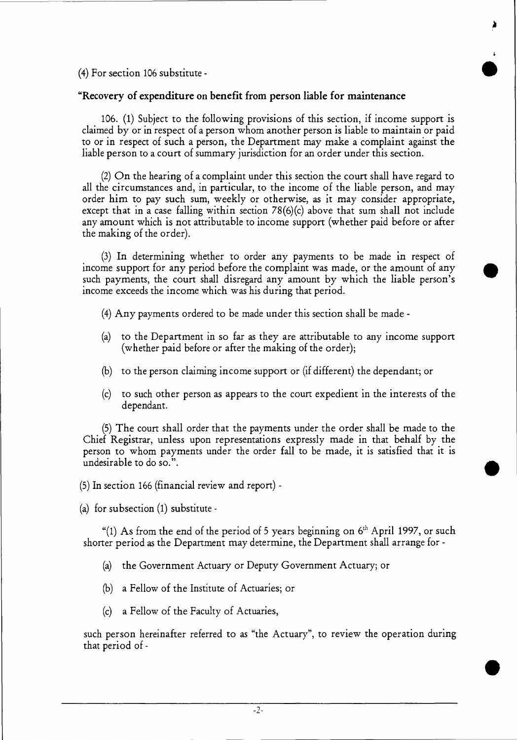(4) For section 106 substitute -

### "Recovery **of expenditure on benefit from person liable for maintenance**

106. (1) Subject to the following provisions of this section, if income support is claimed by or in respect of a person whom another person is liable to maintain or paid to or in respect of such a person, the Department may make a complaint against the liable person to a court of summary jurisdiction for an order under this section.

i

 $\bullet$ 

(2) On the hearing of a complaint under this section the court shall have regard to all the circumstances and, in particular, to the income of the liable person, and may order him to pay such sum, weekly or otherwise, as it may consider appropriate, except that in a case falling within section  $78(6)(c)$  above that sum shall not include any amount which is not attributable to income support (whether paid before or after the making of the order).

(3) In determining whether to order any payments to be made in respect of income support for any period before the complaint was made, or the amount of any such payments, the court shall disregard any amount by which the liable person's income exceeds the income which was his during that period.

- (4) Any payments ordered to be made under this section shall be made -
- (a) to the Department in so far as they are attributable to any income support (whether paid before or after the making of the order);
- (b) to the person claiming income support or (if different) the dependant; or
- (c) to such other person as appears to the court expedient in the interests of the dependant.

(5) The court shall order that the payments under the order shall be made to the Chief Registrar, unless upon representations expressly made in that behalf by the person to whom payments under the order fall to be made, it is satisfied that it is undesirable to do so.".

- (5) In section 166 (financial review and report) -
- (a) for subsection (1) substitute -

"(1) As from the end of the period of 5 years beginning on  $6<sup>th</sup>$  April 1997, or such shorter period as the Department may determine, the Department shall arrange for -

- (a) the Government Actuary or Deputy Government Actuary; or
- (b) a Fellow of the Institute of Actuaries; or
- (c) a Fellow of the Faculty of Actuaries,

such person hereinafter referred to as "the Actuary", to review the operation during that period of -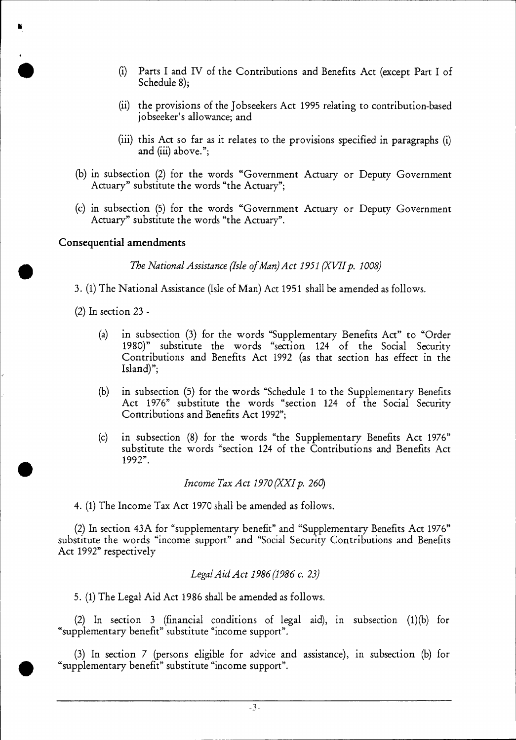- (i) Parts I and IV of the Contributions and Benefits Act (except Part I of Schedule 8);
- (ii) the provisions of the Jobseekers Act 1995 relating to contribution-based jobseeker's allowance; and
- (iii) this Act so far as it relates to the provisions specified in paragraphs (i) and (iii) above.";
- (b) in subsection (2) for the words "Government Actuary or Deputy Government Actuary" substitute the words "the Actuary";
- (c) in subsection (5) for the words "Government Actuary or Deputy Government Actuary" substitute the words "the Actuary".

#### **Consequential amendments**

• *The National Assistance (Isle of Man) Act 1951 (X VII p. 1008)* 

3. (1) The National Assistance (Isle of Man) Act 1951 shall be amended as follows.

(2) In section 23 -

- (a) in subsection (3) for the words "Supplementary Benefits Act" to "Order 1980)" substitute the words "section 124 of the Social Security Contributions and Benefits Act 1992 (as that section has effect in the Island)";
- (b) in subsection (5) for the words "Schedule 1 to the Supplementary Benefits Act 1976" substitute the words "section 124 of the Social Security Contributions and Benefits Act 1992";
- (c) in subsection (8) for the words "the Supplementary Benefits Act 1976" substitute the words "section 124 of the Contributions and Benefits Act 1992".

#### *Income Tax Act 1970 (XXI p. 260)*

4. (1) The Income Tax Act 1970 shall be amended as follows.

(2) In section 43A for "supplementary benefit" and "Supplementary Benefits Act 1976" substitute the words "income support" and "Social Security Contributions and Benefits Act 1992" respectively

### *Legal Aid Act 1986 (1986 c. 23)*

5. (1) The Legal Aid Act 1986 shall be amended as follows.

(2) In section 3 (financial conditions of legal aid), in subsection (1)(b) for "supplementary benefit" substitute "income support".

(3) In section 7 (persons eligible for advice and assistance), in subsection (b) for "supplementary benefit" substitute "income support".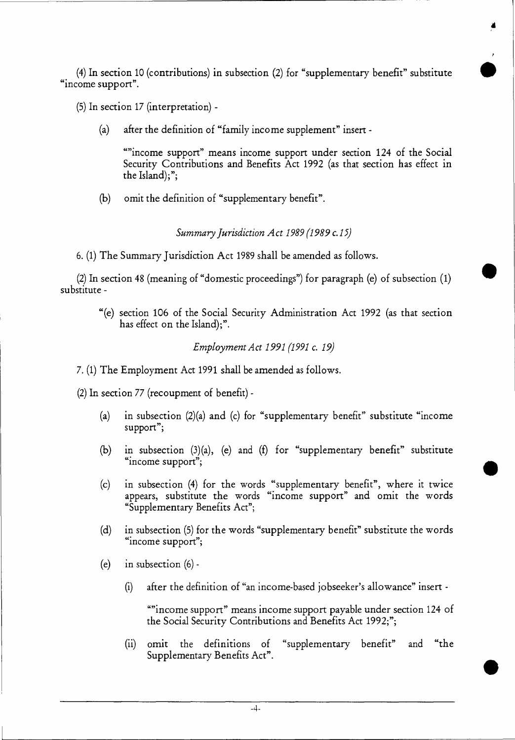(4) In section 10 (contributions) in subsection (2) for "supplementary benefit" substitute "income support".

(5)In section 17 (interpretation) -

(a) after the definition of "family income supplement" insert -

""income support" means income support under section 124 of the Social Security Contributions and Benefits Act 1992 (as that section has effect in the Island);";

(b) omit the definition of "supplementary benefit".

*Summary Jurisdiction Act 1989 (1989 c. 15)* 

6. (1) The Summary Jurisdiction Act 1989 shall be amended as follows.

(2) In section 48 (meaning of "domestic proceedings") for paragraph (e) of subsection (1) substitute -

"(e) section 106 of the Social Security Administration Act 1992 (as that section has effect on the Island);".

### *Employment Act 1991 (1991 c. 19)*

7. (1) The Employment Act 1991 shall be amended as follows.

(2) In section 77 (recoupment of benefit) -

- (a) in subsection  $(2)(a)$  and  $(c)$  for "supplementary benefit" substitute "income support";
- (b) in subsection  $(3)(a)$ , (e) and (f) for "supplementary benefit" substitute "income support";
- (c) in subsection (4) for the words "supplementary benefit", where it twice appears, substitute the words "income support" and omit the words "Supplementary Benefits Act";
- (d) in subsection (5) for the words "supplementary benefit" substitute the words "income support";
- (e) in subsection (6)
	- (i) after the definition of "an income-based jobseeker's allowance" insert -

"income support" means income support payable under section 124 of the Social Security Contributions and Benefits Act 1992;";

(ii) omit the definitions of "supplementary benefit" and "the Supplementary Benefits Act".

-4-